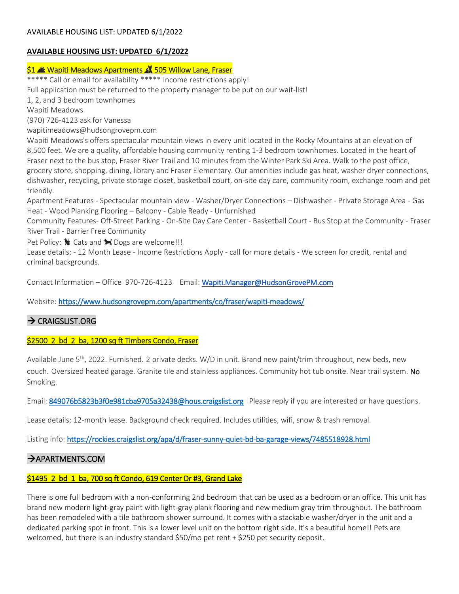# \$1  **Wapiti Meadows Apartments 1 505 Willow Lane, Fraser**

\*\*\*\*\* Call or email for availability \*\*\*\*\* Income restrictions apply! Full application must be returned to the property manager to be put on our wait-list!

1, 2, and 3 bedroom townhomes

Wapiti Meadows

(970) 726-4123 ask for Vanessa

wapitimeadows@hudsongrovepm.com

Wapiti Meadows's offers spectacular mountain views in every unit located in the Rocky Mountains at an elevation of 8,500 feet. We are a quality, affordable housing community renting 1-3 bedroom townhomes. Located in the heart of Fraser next to the bus stop, Fraser River Trail and 10 minutes from the Winter Park Ski Area. Walk to the post office, grocery store, shopping, dining, library and Fraser Elementary. Our amenities include gas heat, washer dryer connections, dishwasher, recycling, private storage closet, basketball court, on-site day care, community room, exchange room and pet friendly.

Apartment Features - Spectacular mountain view - Washer/Dryer Connections – Dishwasher - Private Storage Area - Gas Heat - Wood Planking Flooring – Balcony - Cable Ready - Unfurnished

Community Features- Off-Street Parking - On-Site Day Care Center - Basketball Court - Bus Stop at the Community - Fraser River Trail - Barrier Free Community

Pet Policy:  $\bigotimes$  Cats and  $\bigotimes$  Dogs are welcome!!!

Lease details: - 12 Month Lease - Income Restrictions Apply - call for more details - We screen for credit, rental and criminal backgrounds.

Contact Information – Office 970-726-4123 Email: [Wapiti.Manager@HudsonGrovePM.com](mailto:Wapiti.Manager@HudsonGrovePM.com) 

Website:<https://www.hudsongrovepm.com/apartments/co/fraser/wapiti-meadows/>

# $\rightarrow$  CRAIGSLIST.ORG

## \$2500 2 bd 2 ba, 1200 sq ft Timbers Condo, Fraser

Available June 5<sup>th</sup>, 2022. Furnished. 2 private decks. W/D in unit. Brand new paint/trim throughout, new beds, new couch. Oversized heated garage. Granite tile and stainless appliances. Community hot tub onsite. Near trail system. No Smoking.

Email[: 849076b5823b3f0e981cba9705a32438@hous.craigslist.org](mailto:849076b5823b3f0e981cba9705a32438@hous.craigslist.org) Please reply if you are interested or have questions.

Lease details: 12-month lease. Background check required. Includes utilities, wifi, snow & trash removal.

Listing info:<https://rockies.craigslist.org/apa/d/fraser-sunny-quiet-bd-ba-garage-views/7485518928.html>

# $\rightarrow$  APARTMENTS.COM

## \$1495 2 bd 1 ba, 700 sq ft Condo, 619 Center Dr #3, Grand Lake

There is one full bedroom with a non-conforming 2nd bedroom that can be used as a bedroom or an office. This unit has brand new modern light-gray paint with light-gray plank flooring and new medium gray trim throughout. The bathroom has been remodeled with a tile bathroom shower surround. It comes with a stackable washer/dryer in the unit and a dedicated parking spot in front. This is a lower level unit on the bottom right side. It's a beautiful home!! Pets are welcomed, but there is an industry standard \$50/mo pet rent + \$250 pet security deposit.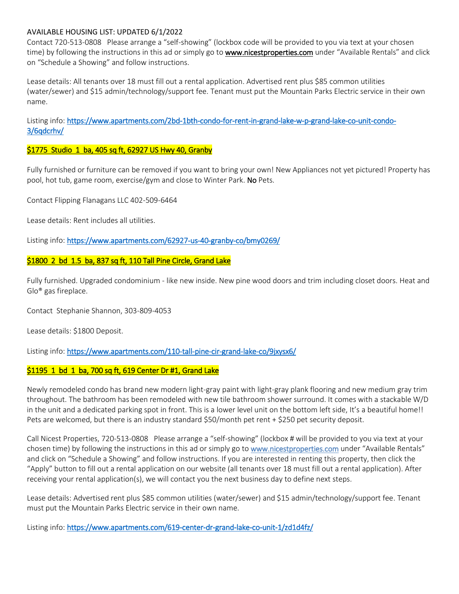Contact 720-513-0808 Please arrange a "self-showing" (lockbox code will be provided to you via text at your chosen time) by following the instructions in this ad or simply go to **www.nicestproperties.com** under "Available Rentals" and click on "Schedule a Showing" and follow instructions.

Lease details: All tenants over 18 must fill out a rental application. Advertised rent plus \$85 common utilities (water/sewer) and \$15 admin/technology/support fee. Tenant must put the Mountain Parks Electric service in their own name.

Listing info: [https://www.apartments.com/2bd-1bth-condo-for-rent-in-grand-lake-w-p-grand-lake-co-unit-condo-](https://www.apartments.com/2bd-1bth-condo-for-rent-in-grand-lake-w-p-grand-lake-co-unit-condo-3/6qdcrhv/)[3/6qdcrhv/](https://www.apartments.com/2bd-1bth-condo-for-rent-in-grand-lake-w-p-grand-lake-co-unit-condo-3/6qdcrhv/) 

## \$1775 Studio 1 ba, 405 sq ft, 62927 US Hwy 40, Granby

Fully furnished or furniture can be removed if you want to bring your own! New Appliances not yet pictured! Property has pool, hot tub, game room, exercise/gym and close to Winter Park. No Pets.

Contact Flipping Flanagans LLC 402-509-6464

Lease details: Rent includes all utilities.

Listing info:<https://www.apartments.com/62927-us-40-granby-co/bmy0269/>

#### \$1800 2 bd 1.5 ba, 837 sq ft, 110 Tall Pine Circle, Grand Lake

Fully furnished. Upgraded condominium - like new inside. New pine wood doors and trim including closet doors. Heat and Glo® gas fireplace.

Contact Stephanie Shannon, 303-809-4053

Lease details: \$1800 Deposit.

Listing info: https://www.apartments.com/110-tall-pine-cir-grand-lake-co/9jxysx6/

#### \$1195 1 bd 1 ba, 700 sq ft, 619 Center Dr #1, Grand Lake

Newly remodeled condo has brand new modern light-gray paint with light-gray plank flooring and new medium gray trim throughout. The bathroom has been remodeled with new tile bathroom shower surround. It comes with a stackable W/D in the unit and a dedicated parking spot in front. This is a lower level unit on the bottom left side, It's a beautiful home!! Pets are welcomed, but there is an industry standard \$50/month pet rent + \$250 pet security deposit.

Call Nicest Properties, 720-513-0808 Please arrange a "self-showing" (lockbox # will be provided to you via text at your chosen time) by following the instructions in this ad or simply go to www.nicestproperties.com under "Available Rentals" and click on "Schedule a Showing" and follow instructions. If you are interested in renting this property, then click the "Apply" button to fill out a rental application on our website (all tenants over 18 must fill out a rental application). After receiving your rental application(s), we will contact you the next business day to define next steps.

Lease details: Advertised rent plus \$85 common utilities (water/sewer) and \$15 admin/technology/support fee. Tenant must put the Mountain Parks Electric service in their own name.

Listing info:<https://www.apartments.com/619-center-dr-grand-lake-co-unit-1/zd1d4fz/>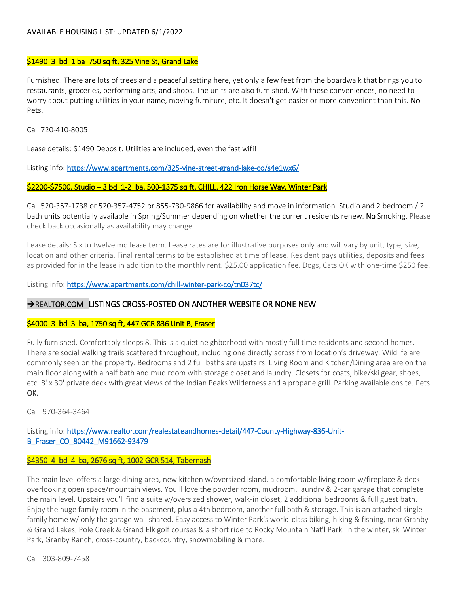#### \$1490 3 bd 1 ba 750 sq ft, 325 Vine St, Grand Lake

Furnished. There are lots of trees and a peaceful setting here, yet only a few feet from the boardwalk that brings you to restaurants, groceries, performing arts, and shops. The units are also furnished. With these conveniences, no need to worry about putting utilities in your name, moving furniture, etc. It doesn't get easier or more convenient than this. No Pets.

Call 720-410-8005

Lease details: \$1490 Deposit. Utilities are included, even the fast wifi!

Listing info: https://www.apartments.com/325-vine-street-grand-lake-co/s4e1wx6/

#### \$2200-\$7500, Studio – 3 bd 1-2 ba, 500-1375 sq ft, CHILL. 422 Iron Horse Way, Winter Park

Call 520-357-1738 or 520-357-4752 or 855-730-9866 for availability and move in information. Studio and 2 bedroom / 2 bath units potentially available in Spring/Summer depending on whether the current residents renew. No Smoking. Please check back occasionally as availability may change.

Lease details: Six to twelve mo lease term. Lease rates are for illustrative purposes only and will vary by unit, type, size, location and other criteria. Final rental terms to be established at time of lease. Resident pays utilities, deposits and fees as provided for in the lease in addition to the monthly rent. \$25.00 application fee. Dogs, Cats OK with one-time \$250 fee.

Listing info:<https://www.apartments.com/chill-winter-park-co/tn037tc/>

#### →REALTOR.COM LISTINGS CROSS-POSTED ON ANOTHER WEBSITE OR NONE NEW

#### \$4000 3 bd 3 ba, 1750 sq ft, 447 GCR 836 Unit B, Fraser

Fully furnished. Comfortably sleeps 8. This is a quiet neighborhood with mostly full time residents and second homes. There are social walking trails scattered throughout, including one directly across from location's driveway. Wildlife are commonly seen on the property. Bedrooms and 2 full baths are upstairs. Living Room and Kitchen/Dining area are on the main floor along with a half bath and mud room with storage closet and laundry. Closets for coats, bike/ski gear, shoes, etc. 8' x 30' private deck with great views of the Indian Peaks Wilderness and a propane grill. Parking available onsite. Pets OK.

Call 970-364-3464

### Listing info: [https://www.realtor.com/realestateandhomes-detail/447-County-Highway-836-Unit-](https://www.realtor.com/realestateandhomes-detail/447-County-Highway-836-Unit-B_Fraser_CO_80442_M91662-93479)[B\\_Fraser\\_CO\\_80442\\_M91662-93479](https://www.realtor.com/realestateandhomes-detail/447-County-Highway-836-Unit-B_Fraser_CO_80442_M91662-93479)

#### \$4350 4 bd 4 ba, 2676 sq ft, 1002 GCR 514, Tabernash

The main level offers a large dining area, new kitchen w/oversized island, a comfortable living room w/fireplace & deck overlooking open space/mountain views. You'll love the powder room, mudroom, laundry & 2-car garage that complete the main level. Upstairs you'll find a suite w/oversized shower, walk-in closet, 2 additional bedrooms & full guest bath. Enjoy the huge family room in the basement, plus a 4th bedroom, another full bath & storage. This is an attached singlefamily home w/ only the garage wall shared. Easy access to Winter Park's world-class biking, hiking & fishing, near Granby & Grand Lakes, Pole Creek & Grand Elk golf courses & a short ride to Rocky Mountain Nat'l Park. In the winter, ski Winter Park, Granby Ranch, cross-country, backcountry, snowmobiling & more.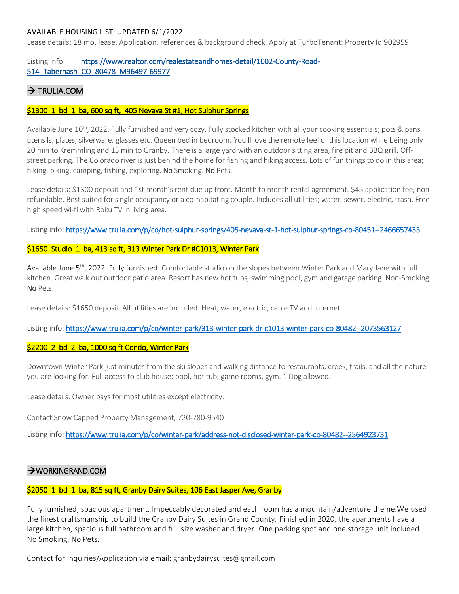Lease details: 18 mo. lease. Application, references & background check. Apply at TurboTenant: Property Id 902959

### Listing info: [https://www.realtor.com/realestateandhomes-detail/1002-County-Road-](https://www.realtor.com/realestateandhomes-detail/1002-County-Road-514_Tabernash_CO_80478_M96497-69977)[514\\_Tabernash\\_CO\\_80478\\_M96497-69977](https://www.realtor.com/realestateandhomes-detail/1002-County-Road-514_Tabernash_CO_80478_M96497-69977)

# $\rightarrow$  TRULIA.COM

#### \$1300 1 bd 1 ba, 600 sq ft, 405 Nevava St #1, Hot Sulphur Springs

Available June  $10^{th}$ , 2022. Fully furnished and very cozy. Fully stocked kitchen with all your cooking essentials; pots & pans, utensils, plates, silverware, glasses etc. Queen bed in bedroom. You'll love the remote feel of this location while being only 20 min to Kremmling and 15 min to Granby. There is a large yard with an outdoor sitting area, fire pit and BBQ grill. Offstreet parking. The Colorado river is just behind the home for fishing and hiking access. Lots of fun things to do in this area; hiking, biking, camping, fishing, exploring. No Smoking. No Pets.

Lease details: \$1300 deposit and 1st month's rent due up front. Month to month rental agreement. \$45 application fee, nonrefundable. Best suited for single occupancy or a co-habitating couple. Includes all utilities; water, sewer, electric, trash. Free high speed wi-fi with Roku TV in living area.

Listing info:<https://www.trulia.com/p/co/hot-sulphur-springs/405-nevava-st-1-hot-sulphur-springs-co-80451--2466657433>

#### \$1650 Studio 1 ba, 413 sq ft, 313 Winter Park Dr #C1013, Winter Park

Available June 5<sup>th</sup>, 2022. Fully furnished. Comfortable studio on the slopes between Winter Park and Mary Jane with full kitchen. Great walk out outdoor patio area. Resort has new hot tubs, swimming pool, gym and garage parking. Non-Smoking. No Pets.

Lease details: \$1650 deposit. All utilities are included. Heat, water, electric, cable TV and Internet.

Listing info:<https://www.trulia.com/p/co/winter-park/313-winter-park-dr-c1013-winter-park-co-80482--2073563127>

### \$2200 2 bd 2 ba, 1000 sq ft Condo, Winter Park

Downtown Winter Park just minutes from the ski slopes and walking distance to restaurants, creek, trails, and all the nature you are looking for. Full access to club house; pool, hot tub, game rooms, gym. 1 Dog allowed.

Lease details: Owner pays for most utilities except electricity.

Contact Snow Capped Property Management, 720-780-9540

Listing info:<https://www.trulia.com/p/co/winter-park/address-not-disclosed-winter-park-co-80482--2564923731>

#### WORKINGRAND.COM

#### \$2050 1 bd 1 ba, 815 sq ft, Granby Dairy Suites, 106 East Jasper Ave, Granby

Fully furnished, spacious apartment. Impeccably decorated and each room has a mountain/adventure theme.We used the finest craftsmanship to build the Granby Dairy Suites in Grand County. Finished in 2020, the apartments have a large kitchen, spacious full bathroom and full size washer and dryer. One parking spot and one storage unit included. No Smoking. No Pets.

Contact for Inquiries/Application via email: granbydairysuites@gmail.com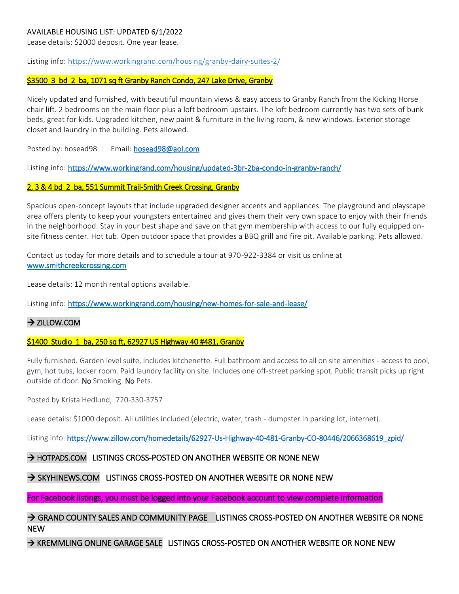Lease details: \$2000 deposit. One year lease.

Listing info[: https://www.workingrand.com/housing/granby-dairy-suites-2/](https://www.workingrand.com/housing/granby-dairy-suites-2/) 

#### \$3500 3 bd 2 ba, 1071 sq ft Granby Ranch Condo, 247 Lake Drive, Granby

Nicely updated and furnished, with beautiful mountain views & easy access to Granby Ranch from the Kicking Horse chair lift. 2 bedrooms on the main floor plus a loft bedroom upstairs. The loft bedroom currently has two sets of bunk beds, great for kids. Upgraded kitchen, new paint & furniture in the living room, & new windows. Exterior storage closet and laundry in the building. Pets allowed.

Posted by: hosead98 Email: [hosead98@aol.com](mailto:hosead98@aol.com)

Listing info[: https://www.workingrand.com/housing/updated-3br-2ba-condo-in-granby-ranch/](https://www.workingrand.com/housing/updated-3br-2ba-condo-in-granby-ranch/) 

#### 2, 3 & 4 bd 2 ba, 551 Summit Trail-Smith Creek Crossing, Granby

Spacious open-concept layouts that include upgraded designer accents and appliances. The playground and playscape area offers plenty to keep your youngsters entertained and gives them their very own space to enjoy with their friends in the neighborhood. Stay in your best shape and save on that gym membership with access to our fully equipped onsite fitness center. Hot tub. Open outdoor space that provides a BBQ grill and fire pit. Available parking. Pets allowed.

Contact us today for more details and to schedule a tour at 970-922-3384 or visit us online at [www.smithcreekcrossing.com](http://www.smithcreekcrossing.com/) 

Lease details: 12 month rental options available.

Listing info[: https://www.workingrand.com/housing/new-homes-for-sale-and-lease/](https://www.workingrand.com/housing/new-homes-for-sale-and-lease/)

#### → ZILLOW.COM

#### \$1400 Studio 1 ba, 250 sq ft, 62927 US Highway 40 #481, Granby

Fully furnished. Garden level suite, includes kitchenette. Full bathroom and access to all on site amenities - access to pool, gym, hot tubs, locker room. Paid laundry facility on site. Includes one off-street parking spot. Public transit picks up right outside of door. No Smoking. No Pets.

Posted by Krista Hedlund, 720-330-3757

Lease details: \$1000 deposit. All utilities included (electric, water, trash - dumpster in parking lot, internet).

Listing info: [https://www.zillow.com/homedetails/62927-Us-Highway-40-481-Granby-CO-80446/2066368619\\_zpid/](https://www.zillow.com/homedetails/62927-Us-Highway-40-481-Granby-CO-80446/2066368619_zpid/) 

#### $\rightarrow$  hotpads.com Listings cross-posted on another website or none new

## $\rightarrow$  skyhinews.com  $\,$  listings cross-posted on another website or none new  $\,$

For Facebook listings, you must be logged into your Facebook account to view complete information

 $\rightarrow$  GRAND COUNTY SALES AND COMMUNITY PAGE LISTINGS CROSS-POSTED ON ANOTHER WEBSITE OR NONE NEW

 $\rightarrow$  KREMMLING ONLINE GARAGE SALE LISTINGS CROSS-POSTED ON ANOTHER WEBSITE OR NONE NEW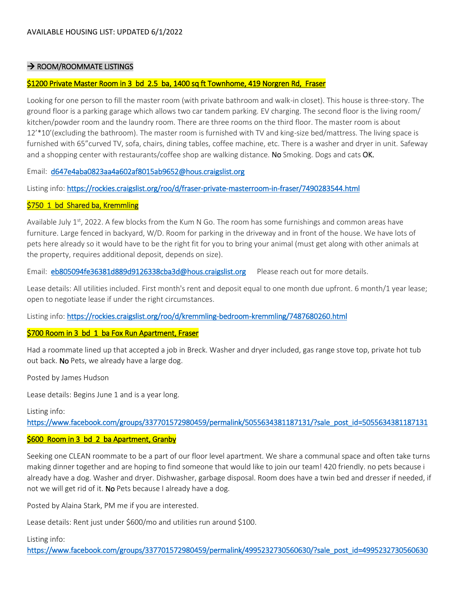## $\rightarrow$  ROOM/ROOMMATE LISTINGS

# \$1200 Private Master Room in 3 bd 2.5 ba, 1400 sq ft Townhome, 419 Norgren Rd, Fraser

Looking for one person to fill the master room (with private bathroom and walk-in closet). This house is three-story. The ground floor is a parking garage which allows two car tandem parking. EV charging. The second floor is the living room/ kitchen/powder room and the laundry room. There are three rooms on the third floor. The master room is about 12'\*10'(excluding the bathroom). The master room is furnished with TV and king-size bed/mattress. The living space is furnished with 65"curved TV, sofa, chairs, dining tables, coffee machine, etc. There is a washer and dryer in unit. Safeway and a shopping center with restaurants/coffee shop are walking distance. No Smoking. Dogs and cats OK.

Email: [d647e4aba0823aa4a602af8015ab9652@hous.craigslist.org](mailto:d647e4aba0823aa4a602af8015ab9652@hous.craigslist.org) 

Listing info:<https://rockies.craigslist.org/roo/d/fraser-private-masterroom-in-fraser/7490283544.html>

# \$750 1 bd Shared ba, Kremmling

Available July 1<sup>st</sup>, 2022. A few blocks from the Kum N Go. The room has some furnishings and common areas have furniture. Large fenced in backyard, W/D. Room for parking in the driveway and in front of the house. We have lots of pets here already so it would have to be the right fit for you to bring your animal (must get along with other animals at the property, requires additional deposit, depends on size).

Email: [eb805094fe36381d889d9126338cba3d@hous.craigslist.org](mailto:eb805094fe36381d889d9126338cba3d@hous.craigslist.org) Please reach out for more details.

Lease details: All utilities included. First month's rent and deposit equal to one month due upfront. 6 month/1 year lease; open to negotiate lease if under the right circumstances.

Listing info:<https://rockies.craigslist.org/roo/d/kremmling-bedroom-kremmling/7487680260.html>

# \$700 Room in 3 bd 1 ba Fox Run Apartment, Fraser

Had a roommate lined up that accepted a job in Breck. Washer and dryer included, gas range stove top, private hot tub out back. No Pets, we already have a large dog.

Posted by James Hudson

Lease details: Begins June 1 and is a year long.

Listing info:

[https://www.facebook.com/groups/337701572980459/permalink/5055634381187131/?sale\\_post\\_id=5055634381187131](https://www.facebook.com/groups/337701572980459/permalink/5055634381187131/?sale_post_id=5055634381187131) 

# \$600 Room in 3 bd 2 ba Apartment, Granby

Seeking one CLEAN roommate to be a part of our floor level apartment. We share a communal space and often take turns making dinner together and are hoping to find someone that would like to join our team! 420 friendly. no pets because i already have a dog. Washer and dryer. Dishwasher, garbage disposal. Room does have a twin bed and dresser if needed, if not we will get rid of it. No Pets because I already have a dog.

Posted by Alaina Stark, PM me if you are interested.

Lease details: Rent just under \$600/mo and utilities run around \$100.

Listing info:

[https://www.facebook.com/groups/337701572980459/permalink/4995232730560630/?sale\\_post\\_id=4995232730560630](https://www.facebook.com/groups/337701572980459/permalink/4995232730560630/?sale_post_id=4995232730560630)